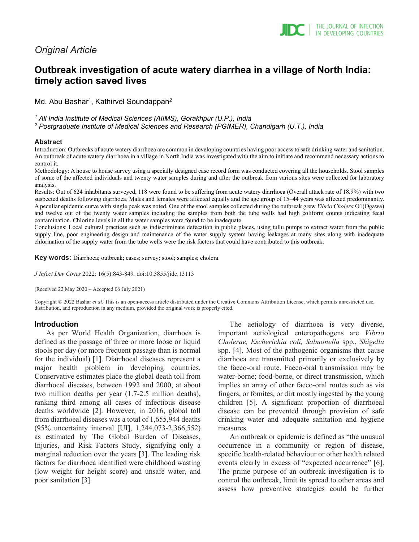# *Original Article*

# **Outbreak investigation of acute watery diarrhea in a village of North India: timely action saved lives**

Md. Abu Bashar<sup>1</sup>, Kathirvel Soundappan<sup>2</sup>

*<sup>1</sup> All India Institute of Medical Sciences (AIIMS), Gorakhpur (U.P.), India*

*<sup>2</sup> Postgraduate Institute of Medical Sciences and Research (PGIMER), Chandigarh (U.T.), India*

#### **Abstract**

Introduction: Outbreaks of acute watery diarrhoea are common in developing countries having poor access to safe drinking water and sanitation. An outbreak of acute watery diarrhoea in a village in North India was investigated with the aim to initiate and recommend necessary actions to control it.

Methodology: A house to house survey using a specially designed case record form was conducted covering all the households. Stool samples of some of the affected individuals and twenty water samples during and after the outbreak from various sites were collected for laboratory analysis.

Results: Out of 624 inhabitants surveyed, 118 were found to be suffering from acute watery diarrhoea (Overall attack rate of 18.9%) with two suspected deaths following diarrhoea. Males and females were affected equally and the age group of 15–44 years was affected predominantly. A peculiar epidemic curve with single peak was noted. One of the stool samples collected during the outbreak grew *Vibrio Cholera* O1(Ogawa) and twelve out of the twenty water samples including the samples from both the tube wells had high coliform counts indicating fecal contamination. Chlorine levels in all the water samples were found to be inadequate.

Conclusions: Local cultural practices such as indiscriminate defecation in public places, using tullu pumps to extract water from the public supply line, poor engineering design and maintenance of the water supply system having leakages at many sites along with inadequate chlorination of the supply water from the tube wells were the risk factors that could have contributed to this outbreak.

**Key words:** Diarrhoea; outbreak; cases; survey; stool; samples; cholera.

*J Infect Dev Ctries* 2022; 16(5):843-849*.* doi:10.3855/jidc.13113

(Received 22 May 2020 – Accepted 06 July 2021)

Copyright © 2022 Bashar *et al*. This is an open-access article distributed under the Creative Commons Attribution License, which permits unrestricted use, distribution, and reproduction in any medium, provided the original work is properly cited.

#### **Introduction**

As per World Health Organization, diarrhoea is defined as the passage of three or more loose or liquid stools per day (or more frequent passage than is normal for the individual) [1]. Diarrhoeal diseases represent a major health problem in developing countries. Conservative estimates place the global death toll from diarrhoeal diseases, between 1992 and 2000, at about two million deaths per year (1.7-2.5 million deaths), ranking third among all cases of infectious disease deaths worldwide [2]. However, in 2016, global toll from diarrhoeal diseases was a total of 1,655,944 deaths (95% uncertainty interval [UI], 1,244,073-2,366,552) as estimated by The Global Burden of Diseases, Injuries, and Risk Factors Study, signifying only a marginal reduction over the years [3]. The leading risk factors for diarrhoea identified were childhood wasting (low weight for height score) and unsafe water, and poor sanitation [3].

The aetiology of diarrhoea is very diverse, important aetiological enteropathogens are *Vibrio Cholerae, Escherichia coli, Salmonella* spp*.*, *Shigella* spp. [4]. Most of the pathogenic organisms that cause diarrhoea are transmitted primarily or exclusively by the faeco-oral route. Faeco-oral transmission may be water-borne; food-borne, or direct transmission, which implies an array of other faeco-oral routes such as via fingers, or fomites, or dirt mostly ingested by the young children [5]. A significant proportion of diarrhoeal disease can be prevented through provision of safe drinking water and adequate sanitation and hygiene measures.

An outbreak or epidemic is defined as "the unusual occurrence in a community or region of disease, specific health-related behaviour or other health related events clearly in excess of "expected occurrence" [6]. The prime purpose of an outbreak investigation is to control the outbreak, limit its spread to other areas and assess how preventive strategies could be further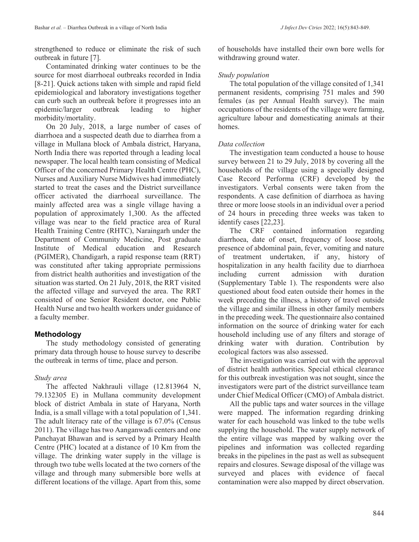strengthened to reduce or eliminate the risk of such outbreak in future [7].

Contaminated drinking water continues to be the source for most diarrhoeal outbreaks recorded in India [8-21]. Quick actions taken with simple and rapid field epidemiological and laboratory investigations together can curb such an outbreak before it progresses into an epidemic/larger outbreak leading to higher morbidity/mortality.

On 20 July, 2018, a large number of cases of diarrhoea and a suspected death due to diarrhea from a village in Mullana block of Ambala district, Haryana, North India there was reported through a leading local newspaper. The local health team consisting of Medical Officer of the concerned Primary Health Centre (PHC), Nurses and Auxiliary Nurse Midwives had immediately started to treat the cases and the District surveillance officer activated the diarrhoeal surveillance. The mainly affected area was a single village having a population of approximately 1,300. As the affected village was near to the field practice area of Rural Health Training Centre (RHTC), Naraingarh under the Department of Community Medicine, Post graduate Institute of Medical education and Research (PGIMER), Chandigarh, a rapid response team (RRT) was constituted after taking appropriate permissions from district health authorities and investigation of the situation was started. On 21 July, 2018, the RRT visited the affected village and surveyed the area. The RRT consisted of one Senior Resident doctor, one Public Health Nurse and two health workers under guidance of a faculty member.

## **Methodology**

The study methodology consisted of generating primary data through house to house survey to describe the outbreak in terms of time, place and person.

## *Study area*

The affected Nakhrauli village (12.813964 N, 79.132305 E) in Mullana community development block of district Ambala in state of Haryana, North India, is a small village with a total population of 1,341. The adult literacy rate of the village is 67.0% (Census 2011). The village has two Aanganwadi centers and one Panchayat Bhawan and is served by a Primary Health Centre (PHC) located at a distance of 10 Km from the village. The drinking water supply in the village is through two tube wells located at the two corners of the village and through many submersible bore wells at different locations of the village. Apart from this, some

of households have installed their own bore wells for withdrawing ground water.

## *Study population*

The total population of the village consited of 1,341 permanent residents, comprising 751 males and 590 females (as per Annual Health survey). The main occupations of the residents of the village were farming, agriculture labour and domesticating animals at their homes.

## *Data collection*

The investigation team conducted a house to house survey between 21 to 29 July, 2018 by covering all the households of the village using a specially designed Case Record Performa (CRF) developed by the investigators. Verbal consents were taken from the respondents. A case definition of diarrhoea as having three or more loose stools in an individual over a period of 24 hours in preceding three weeks was taken to identify cases [22,23].

The CRF contained information regarding diarrhoea, date of onset, frequency of loose stools, presence of abdominal pain, fever, vomiting and nature of treatment undertaken, if any, history of hospitalization in any health facility due to diarrhoea including current admission with duration (Supplementary Table 1). The respondents were also questioned about food eaten outside their homes in the week preceding the illness, a history of travel outside the village and similar illness in other family members in the preceding week. The questionnaire also contained information on the source of drinking water for each household including use of any filters and storage of drinking water with duration. Contribution by ecological factors was also assessed.

The investigation was carried out with the approval of district health authorities. Special ethical clearance for this outbreak investigation was not sought, since the investigators were part of the district surveillance team under Chief Medical Officer (CMO) of Ambala district.

All the public taps and water sources in the village were mapped. The information regarding drinking water for each household was linked to the tube wells supplying the household. The water supply network of the entire village was mapped by walking over the pipelines and information was collected regarding breaks in the pipelines in the past as well as subsequent repairs and closures. Sewage disposal of the village was surveyed and places with evidence of faecal contamination were also mapped by direct observation.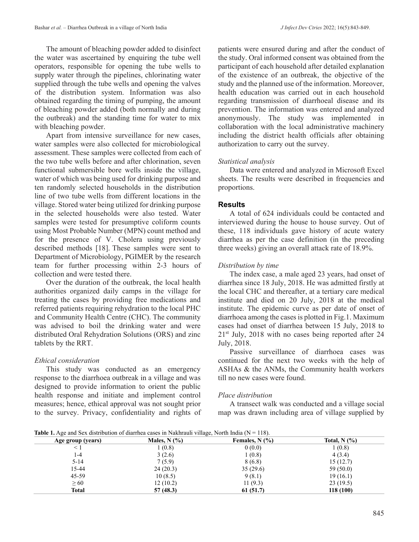The amount of bleaching powder added to disinfect the water was ascertained by enquiring the tube well operators, responsible for opening the tube wells to supply water through the pipelines, chlorinating water supplied through the tube wells and opening the valves of the distribution system. Information was also obtained regarding the timing of pumping, the amount of bleaching powder added (both normally and during the outbreak) and the standing time for water to mix with bleaching powder.

Apart from intensive surveillance for new cases, water samples were also collected for microbiological assessment. These samples were collected from each of the two tube wells before and after chlorination, seven functional submersible bore wells inside the village, water of which was being used for drinking purpose and ten randomly selected households in the distribution line of two tube wells from different locations in the village. Stored water being utilized for drinking purpose in the selected households were also tested. Water samples were tested for presumptive coliform counts using Most Probable Number (MPN) count method and for the presence of V. Cholera using previously described methods [18]. These samples were sent to Department of Microbiology, PGIMER by the research team for further processing within 2-3 hours of collection and were tested there.

Over the duration of the outbreak, the local health authorities organized daily camps in the village for treating the cases by providing free medications and referred patients requiring rehydration to the local PHC and Community Health Centre (CHC). The community was advised to boil the drinking water and were distributed Oral Rehydration Solutions (ORS) and zinc tablets by the RRT.

#### *Ethical consideration*

This study was conducted as an emergency response to the diarrhoea outbreak in a village and was designed to provide information to orient the public health response and initiate and implement control measures; hence, ethical approval was not sought prior to the survey. Privacy, confidentiality and rights of patients were ensured during and after the conduct of the study. Oral informed consent was obtained from the participant of each household after detailed explanation of the existence of an outbreak, the objective of the study and the planned use of the information. Moreover, health education was carried out in each household regarding transmission of diarrhoeal disease and its prevention. The information was entered and analyzed anonymously. The study was implemented in collaboration with the local administrative machinery including the district health officials after obtaining authorization to carry out the survey.

#### *Statistical analysis*

Data were entered and analyzed in Microsoft Excel sheets. The results were described in frequencies and proportions.

#### **Results**

A total of 624 individuals could be contacted and interviewed during the house to house survey. Out of these, 118 individuals gave history of acute watery diarrhea as per the case definition (in the preceding three weeks) giving an overall attack rate of 18.9%.

#### *Distribution by time*

The index case, a male aged 23 years, had onset of diarrhea since 18 July, 2018. He was admitted firstly at the local CHC and thereafter, at a tertiary care medical institute and died on 20 July, 2018 at the medical institute. The epidemic curve as per date of onset of diarrhoea among the cases is plotted in Fig.1. Maximum cases had onset of diarrhea between 15 July, 2018 to  $21<sup>st</sup>$  July, 2018 with no cases being reported after 24 July, 2018.

Passive surveillance of diarrhoea cases was continued for the next two weeks with the help of ASHAs & the ANMs, the Community health workers till no new cases were found.

#### *Place distribution*

A transect walk was conducted and a village social map was drawn including area of village supplied by

**Table 1.** Age and Sex distribution of diarrhea cases in Nakhrauli village, North India ( $N = 118$ ).

| Age group (years) | Males, $N$ $\left(\frac{9}{6}\right)$ | Females, $N$ (%) | Total, $N(\%)$ |
|-------------------|---------------------------------------|------------------|----------------|
|                   | (0.8)                                 | 0(0.0)           | 1(0.8)         |
| $1 - 4$           | 3(2.6)                                | 1(0.8)           | 4(3.4)         |
| $5 - 14$          | 7(5.9)                                | 8(6.8)           | 15(12.7)       |
| 15-44             | 24(20.3)                              | 35(29.6)         | 59 (50.0)      |
| $45 - 59$         | 10(8.5)                               | 9(8.1)           | 19(16.1)       |
| $\geq 60$         | 12(10.2)                              | 11(9.3)          | 23(19.5)       |
| <b>Total</b>      | 57(48.3)                              | 61(51.7)         | 118 (100)      |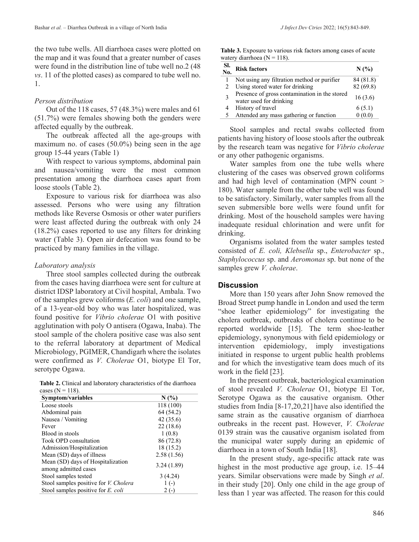the two tube wells. All diarrhoea cases were plotted on the map and it was found that a greater number of cases were found in the distribution line of tube well no.2 (48 *vs*. 11 of the plotted cases) as compared to tube well no. 1.

#### *Person distribution*

Out of the 118 cases, 57 (48.3%) were males and 61 (51.7%) were females showing both the genders were affected equally by the outbreak.

The outbreak affected all the age-groups with maximum no. of cases (50.0%) being seen in the age group 15-44 years (Table 1)

With respect to various symptoms, abdominal pain and nausea/vomiting were the most common presentation among the diarrhoea cases apart from loose stools (Table 2).

Exposure to various risk for diarrhoea was also assessed. Persons who were using any filtration methods like Reverse Osmosis or other water purifiers were least affected during the outbreak with only 24 (18.2%) cases reported to use any filters for drinking water (Table 3). Open air defecation was found to be practiced by many families in the village.

#### *Laboratory analysis*

Three stool samples collected during the outbreak from the cases having diarrhoea were sent for culture at district IDSP laboratory at Civil hospital, Ambala. Two of the samples grew coliforms (*E. coli*) and one sample, of a 13-year-old boy who was later hospitalized, was found positive for *Vibrio cholerae* O1 with positive agglutination with poly O antisera (Ogawa, Inaba). The stool sample of the cholera positive case was also sent to the referral laboratory at department of Medical Microbiology, PGIMER, Chandigarh where the isolates were confirmed as *V. Cholerae* O1, biotype El Tor, serotype Ogawa.

**Table 2.** Clinical and laboratory characteristics of the diarrhoea cases  $(N = 118)$ .

| Symptom/variables                                         | N(%)       |
|-----------------------------------------------------------|------------|
| Loose stools                                              | 118 (100)  |
| Abdominal pain                                            | 64 (54.2)  |
| Nausea / Vomiting                                         | 42(35.6)   |
| Fever                                                     | 22(18.6)   |
| Blood in stools                                           | 1(0.8)     |
| Took OPD consultation                                     | 86 (72.8)  |
| Admission/Hospitalization                                 | 18 (15.2)  |
| Mean (SD) days of illness                                 | 2.58(1.56) |
| Mean (SD) days of Hospitalization<br>among admitted cases | 3.24(1.89) |
| Stool samples tested                                      | 3(4.24)    |
| Stool samples positive for <i>V. Cholera</i>              | $1(-)$     |
| Stool samples positive for E. coli                        | $2(-)$     |

| Table 3. Exposure to various risk factors among cases of acute |  |
|----------------------------------------------------------------|--|
| watery diarrhoea ( $N = 118$ ).                                |  |

| -SI.<br>No. | <b>Risk factors</b>                                                      | N(%       |
|-------------|--------------------------------------------------------------------------|-----------|
|             | Not using any filtration method or purifier                              | 84 (81.8) |
|             | Using stored water for drinking                                          | 82 (69.8) |
|             | Presence of gross contamination in the stored<br>water used for drinking | 16(3.6)   |
|             | History of travel                                                        | 6(5.1)    |
|             | Attended any mass gathering or function                                  |           |

Stool samples and rectal swabs collected from patients having history of loose stools after the outbreak by the research team was negative for *Vibrio cholerae*  or any other pathogenic organisms.

Water samples from one the tube wells where clustering of the cases was observed grown coliforms and had high level of contamination (MPN count > 180). Water sample from the other tube well was found to be satisfactory. Similarly, water samples from all the seven submersible bore wells were found unfit for drinking. Most of the household samples were having inadequate residual chlorination and were unfit for drinking.

Organisms isolated from the water samples tested consisted of *E. coli, Klebsella* sp., *Enterobacter* sp., *Staphylococcus* sp. and *Aeromonas* sp. but none of the samples grew *V. cholerae*.

#### **Discussion**

More than 150 years after John Snow removed the Broad Street pump handle in London and used the term "shoe leather epidemiology" for investigating the cholera outbreak, outbreaks of cholera continue to be reported worldwide [15]. The term shoe-leather epidemiology, synonymous with field epidemiology or intervention epidemiology, imply investigations initiated in response to urgent public health problems and for which the investigative team does much of its work in the field [23].

In the present outbreak, bacteriological examination of stool revealed *V. Cholerae* O1, biotype El Tor, Serotype Ogawa as the causative organism. Other studies from India [8-17,20,21] have also identified the same strain as the causative organism of diarrhoea outbreaks in the recent past. However, *V. Cholerae* 0139 strain was the causative organism isolated from the municipal water supply during an epidemic of diarrhoea in a town of South India [18].

In the present study, age-specific attack rate was highest in the most productive age group, i.e. 15–44 years. Similar observations were made by Singh *et al*. in their study [20]. Only one child in the age group of less than 1 year was affected. The reason for this could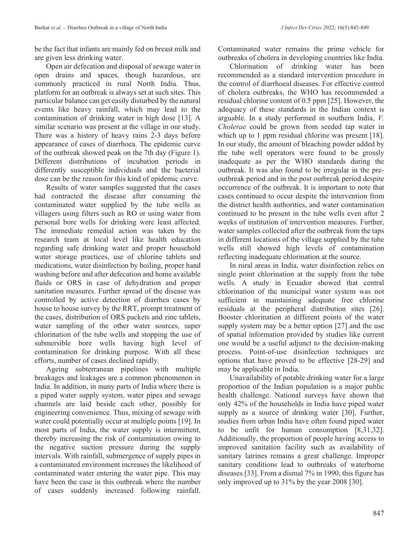be the fact that infants are mainly fed on breast milk and are given less drinking water.

Open air defecation and disposal of sewage water in open drains and spaces, though hazardous, are commonly practiced in rural North India. Thus, platform for an outbreak is always set at such sites. This particular balance can get easily disturbed by the natural events like heavy rainfall, which may lead to the contamination of drinking water in high dose [13]. A similar scenario was present at the village in our study. There was a history of heavy rains 2-3 days before appearance of cases of diarrhoea. The epidemic curve of the outbreak showed peak on the 7th day (Figure 1). Different distributions of incubation periods in differently susceptible individuals and the bacterial dose can be the reason for this kind of epidemic curve.

Results of water samples suggested that the cases had contracted the disease after consuming the contaminated water supplied by the tube wells as villagers using filters such as RO or using water from personal bore wells for drinking were least affected. The immediate remedial action was taken by the research team at local level like health education regarding safe drinking water and proper household water storage practices, use of chlorine tablets and medications, water disinfection by boiling, proper hand washing before and after defecation and home available fluids or ORS in case of dehydration and proper sanitation measures. Further spread of the disease was controlled by active detection of diarrhea cases by house to house survey by the RRT, prompt treatment of the cases, distribution of ORS packets and zinc tablets, water sampling of the other water sources, super chlorination of the tube wells and stopping the use of submersible bore wells having high level of contamination for drinking purpose. With all these efforts, number of cases declined rapidly.

Ageing subterranean pipelines with multiple breakages and leakages are a common phenomenon in India. In addition, in many parts of India where there is a piped water supply system, water pipes and sewage channels are laid beside each other, possibly for engineering convenience. Thus, mixing of sewage with water could potentially occur at multiple points [19]. In most parts of India, the water supply is intermittent, thereby increasing the risk of contamination owing to the negative suction pressure during the supply intervals. With rainfall, submergence of supply pipes in a contaminated environment increases the likelihood of contaminated water entering the water pipe. This may have been the case in this outbreak where the number of cases suddenly increased following rainfall.

Contaminated water remains the prime vehicle for outbreaks of cholera in developing countries like India.

Chlorination of drinking water has been recommended as a standard intervention procedure in the control of diarrhoeal diseases. For effective control of cholera outbreaks, the WHO has recommended a residual chlorine content of 0.5 ppm [25]. However, the adequacy of these standards in the Indian context is arguable. In a study performed in southern India, *V. Cholerae* could be grown from seeded tap water in which up to 1 ppm residual chlorine was present [18]. In our study, the amount of bleaching powder added by the tube well operators were found to be grossly inadequate as per the WHO standards during the outbreak. It was also found to be irregular in the preoutbreak period and in the post outbreak period despite occurrence of the outbreak. It is important to note that cases continued to occur despite the intervention from the district health authorities, and water contamination continued to be present in the tube wells even after 2 weeks of institution of intervention measures. Further, water samples collected after the outbreak from the taps in different locations of the village supplied by the tube wells still showed high levels of contamination reflecting inadequate chlorination at the source.

In rural areas in India, water disinfection relies on single point chlorination at the supply from the tube wells. A study in Ecuador showed that central chlorination of the municipal water system was not sufficient in maintaining adequate free chlorine residuals at the peripheral distribution sites [26]. Booster chlorination at different points of the water supply system may be a better option [27] and the use of spatial information provided by studies like current one would be a useful adjunct to the decision-making process. Point-of-use disinfection techniques are options that have proved to be effective [28-29] and may be applicable in India.

Unavailability of potable drinking water for a large proportion of the Indian population is a major public health challenge. National surveys have shown that only 42% of the households in India have piped water supply as a source of drinking water [30]. Further, studies from urban India have often found piped water to be unfit for human consumption [8,31,32]. Additionally, the proportion of people having access to improved sanitation facility such as availability of sanitary latrines remains a great challenge. Improper sanitary conditions lead to outbreaks of waterborne diseases [33]. From a dismal 7% in 1990, this figure has only improved up to 31% by the year 2008 [30].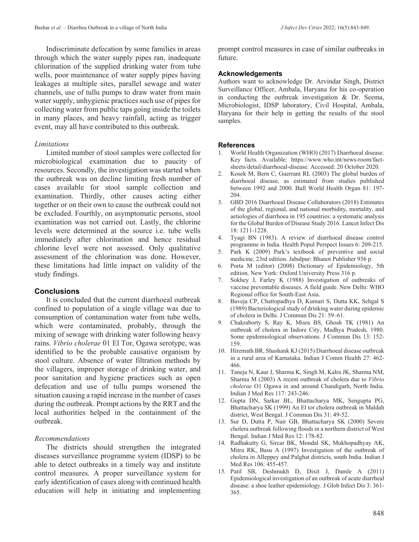Indiscriminate defecation by some families in areas through which the water supply pipes ran, inadequate chlorination of the supplied drinking water from tube wells, poor maintenance of water supply pipes having leakages at multiple sites, parallel sewage and water channels, use of tullu pumps to draw water from main water supply, unhygienic practices such use of pipes for collecting water from public taps going inside the toilets in many places, and heavy rainfall, acting as trigger event, may all have contributed to this outbreak.

#### *Limitations*

Limited number of stool samples were collected for microbiological examination due to paucity of resources. Secondly, the investigation was started when the outbreak was on decline limiting fresh number of cases available for stool sample collection and examination. Thirdly, other causes acting either together or on their own to cause the outbreak could not be excluded. Fourthly, on asymptomatic persons, stool examination was not carried out. Lastly, the chlorine levels were determined at the source i.e. tube wells immediately after chlorination and hence residual chlorine level were not assessed. Only qualitative assessment of the chlorination was done. However, these limitations had little impact on validity of the study findings.

#### **Conclusions**

It is concluded that the current diarrhoeal outbreak confined to population of a single village was due to consumption of contamination water from tube wells, which were contaminated, probably, through the mixing of sewage with drinking water following heavy rains. *Vibrio cholerae* 01 El Tor, Ogawa serotype, was identified to be the probable causative organism by stool culture. Absence of water filtration methods by the villagers, improper storage of drinking water, and poor sanitation and hygiene practices such as open defecation and use of tullu pumps worsened the situation causing a rapid increase in the number of cases during the outbreak. Prompt actions by the RRT and the local authorities helped in the containment of the outbreak.

#### *Recommendations*

The districts should strengthen the integrated diseases surveillance programme system (IDSP) to be able to detect outbreaks in a timely way and institute control measures. A proper surveillance system for early identification of cases along with continued health education will help in initiating and implementing

prompt control measures in case of similar outbreaks in future.

#### **Acknowledgements**

Authors want to acknowledge Dr. Arvindar Singh, District Surveillance Officer, Ambala, Haryana for his co-operation in conducting the outbreak investigation & Dr. Seema, Microbiologist, IDSP laboratory, Civil Hospital, Ambala, Haryana for their help in getting the results of the stool samples.

#### **References**

- 1. World Health Organization (WHO) (2017) Diarrhoeal disease. Key facts. Available: https://www.who.int/news-room/factsheets/detail/diarrhoeal-disease. Accessed: 20 October 2020.
- 2. Kosek M, Bern C, Guerrant RL (2003) The global burden of diarrhoeal disease, as estimated from studies published between 1992 and 2000. Bull World Health Organ 81: 197- 204.
- 3. GBD 2016 Diarrhoeal Disease Collaborators (2018) Estimates of the global, regional, and national morbidity, mortality, and aetiologies of diarrhoea in 195 countries: a systematic analysis for the Global Burden of Disease Study 2016. Lancet Infect Dis 18: 1211-1228.
- 4. Tyagi BN (1983). A review of diarrhoeal disease control programme in India. Health Popul Perspect Issues 6: 209-215.
- 5. Park K (2009) Park's textbook of preventive and social medicine, 23rd edition. Jabalpur: Bhanot Publisher 936 p.
- 6. Porta M (editor) (2008) Dictionary of Epidemiology, 5th edition. New York: Oxford University Press 316 p.
- 7. Sokhey J, Farley K (1988) Investigation of outbreaks of vaccine preventable diseases. A field guide. New Delhi: WHO Regional office for South-East Asia.
- 8. Baveja CP, Chattopadhya D, Kumari S, Dutta KK, Sehgal S (1989) Bacteriological study of drinking water during epidemic of cholera in Delhi. J Commun Dis 21: 59–61.
- 9. Chakraborty S, Ray K, Misra BS, Ghosh TK (1981) An outbreak of cholera in Indore City, Madhya Pradesh, 1980. Some epidemiological observations. J Commun Dis 13: 152- 159.
- 10. Hiremath BR, Shashank KJ (2015) Diarrhoeal disease outbreak in a rural area of Karnataka. Indian J Comm Health 27: 462- 466.
- 11. Taneja N, Kaur J, Sharma K, Singh M, Kalra JK, Sharma NM, Sharma M (2003) A recent outbreak of cholera due to *Vibrio cholerae* O1 Ogawa in and around Chandigarh, North India. Indian J Med Res 117: 243-246.
- 12. Gupta DN, Sarkar BL, Bhattacharya MK, Sengupta PG, Bhattacharya SK (1999) An El tor cholera outbreak in Maldah district, West Bengal. J Commun Dis 31: 49-52.
- 13. Sur D, Dutta P, Nair GB, Bhattacharya SK (2000) Severe cholera outbreak following floods in a northern district of West Bengal. Indian J Med Res 12: 178-82.
- 14. Radhakutty G, Sircar BK, Mondal SK, Mukhopadhyay AK, Mitra RK, Basu A (1997) Investigation of the outbreak of cholera in Alleppey and Palghat districts, south India. Indian J Med Res 106: 455-457.
- 15. Patil SB, Deshmukh D, Dixit J, Damle A (2011) Epidemiological investigation of an outbreak of acute diarrheal disease: a shoe leather epidemiology. J Glob Infect Dis 3: 361- 365.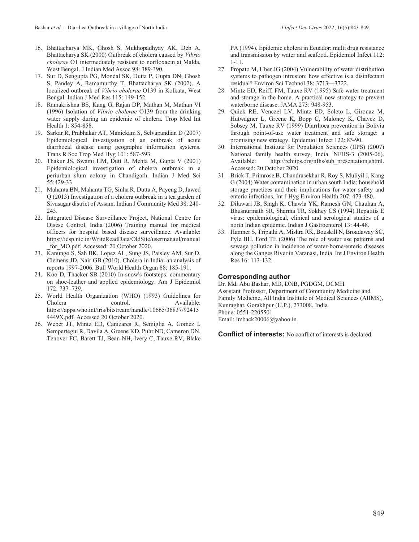- 16. Bhattacharya MK, Ghosh S, Mukhopadhyay AK, Deb A, Bhattacharya SK (2000) Outbreak of cholera caused by *Vibrio cholerae* O1 intermediately resistant to norfloxacin at Malda, West Bengal. J Indian Med Assoc 98: 389-390.
- 17. Sur D, Sengupta PG, Mondal SK, Dutta P, Gupta DN, Ghosh S, Pandey A, Ramamurthy T, Bhattacharya SK (2002). A localized outbreak of *Vibrio cholerae* O139 in Kolkata, West Bengal. Indian J Med Res 115: 149-152.
- 18. Ramakrishna BS, Kang G, Rajan DP, Mathan M, Mathan VI (1996) Isolation of *Vibrio cholerae* O139 from the drinking water supply during an epidemic of cholera. Trop Med Int Health 1: 854-858.
- 19. Sarkar R, Prabhakar AT, Manickam S, Selvapandian D (2007) Epidemiological investigation of an outbreak of acute diarrhoeal disease using geographic information systems. Trans R Soc Trop Med Hyg 101: 587-593.
- 20. Thakur JS, Swami HM, Dutt R, Mehta M, Gupta V (2001) Epidemiological investigation of cholera outbreak in a periurban slum colony in Chandigarh. Indian J Med Sci 55:429-33
- 21. Mahanta BN, Mahanta TG, Sinha R, Dutta A, Payeng D, Jawed Q (2013) Investigation of a cholera outbreak in a tea garden of Sivasagar district of Assam. Indian J Community Med 38: 240- 243.
- 22. Integrated Disease Surveillance Project, National Centre for Disese Control, India (2006) Training manual for medical officers for hospital based disease surveillance. Available: https://idsp.nic.in/WriteReadData/OldSite/usermanaul/manual for MO.pdf. Accessed: 20 October 2020.
- 23. Kanungo S, Sah BK, Lopez AL, Sung JS, Paisley AM, Sur D, Clemens JD, Nair GB (2010). Cholera in India: an analysis of reports 1997-2006. Bull World Health Organ 88: 185-191.
- 24. Koo D, Thacker SB (2010) In snow's footsteps: commentary on shoe-leather and applied epidemiology. Am J Epidemiol 172: 737–739.
- 25. World Health Organization (WHO) (1993) Guidelines for Cholera control. Available: https://apps.who.int/iris/bitstream/handle/10665/36837/92415 4449X.pdf. Accessed 20 October 2020.
- 26. Weber JT, Mintz ED, Canizares R, Semiglia A, Gomez I, Sempertegui R, Davila A, Greene KD, Puhr ND, Cameron DN, Tenover FC, Barett TJ, Bean NH, Ivery C, Tauxe RV, Blake

PA (1994). Epidemic cholera in Ecuador: multi drug resistance and transmission by water and seafood. Epidemiol Infect 112: 1-11.

- 27. Propato M, Uber JG (2004) Vulnerability of water distribution systems to pathogen intrusion: how effective is a disinfectant residual? Environ Sci Technol 38: 3713—3722.
- 28. Mintz ED, Reiff, FM, Tauxe RV (1995) Safe water treatment and storage in the home. A practical new strategy to prevent waterborne disease. JAMA 273: 948-953.
- 29. Quick RE, Venczel LV, Mintz ED, Soleto L, Gironaz M, Hutwagner L, Greene K, Bopp C, Maloney K, Chavez D, Sobsey M, Tauxe RV (1999) Diarrhoea prevention in Bolivia through point-of-use water treatment and safe storage: a promising new strategy. Epidemiol Infect 122: 83-90.
- 30. International Institute for Population Sciences (IIPS) (2007) National family health survey, India. NFHS-3 (2005-06).<br>Available: http://rchiips.org/nfhs/sub presentation.shtml. http://rchiips.org/nfhs/sub\_presentation.shtml. Accessed: 20 October 2020.
- 31. Brick T, Primrose B, Chandrasekhar R, Roy S, Muliyil J, Kang G (2004) Water contamination in urban south India: household storage practices and their implications for water safety and enteric infections. Int J Hyg Environ Health 207: 473-480.
- 32. Dilawari JB, Singh K, Chawla YK, Ramesh GN, Chauhan A, Bhusnurmath SR, Sharma TR, Sokhey CS (1994) Hepatitis E virus: epidemiological, clinical and serological studies of a north Indian epidemic. Indian J Gastroenterol 13: 44-48.
- 33. Hamner S, Tripathi A, Mishra RK, Bouskill N, Broadaway SC, Pyle BH, Ford TE (2006) The role of water use patterns and sewage pollution in incidence of water-borne/enteric diseases along the Ganges River in Varanasi, India. Int J Environ Health Res 16: 113-132.

#### **Corresponding author**

Dr. Md. Abu Bashar, MD, DNB, PGDGM, DCMH Assistant Professor, Department of Community Medicine and Family Medicine, All India Institute of Medical Sciences (AIIMS), Kunraghat, Gorakhpur (U.P.), 273008, India Phone: 0551-2205501 Email: imback20006@yahoo.in

**Conflict of interests:** No conflict of interests is declared.